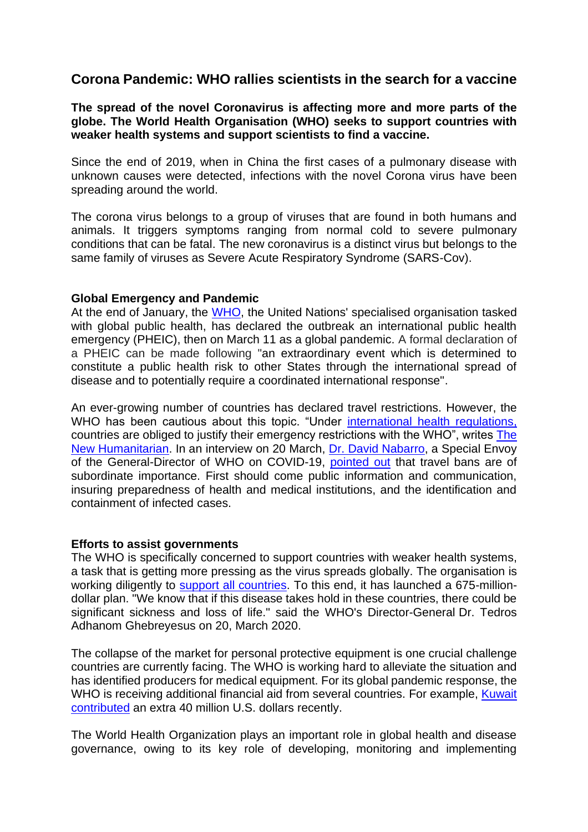# **Corona Pandemic: WHO rallies scientists in the search for a vaccine**

**The spread of the novel Coronavirus is affecting more and more parts of the globe. The World Health Organisation (WHO) seeks to support countries with weaker health systems and support scientists to find a vaccine.**

Since the end of 2019, when in China the first cases of a pulmonary disease with unknown causes were detected, infections with the novel Corona virus have been spreading around the world.

The corona virus belongs to a group of viruses that are found in both humans and animals. It triggers symptoms ranging from normal cold to severe pulmonary conditions that can be fatal. The new coronavirus is a distinct virus but belongs to the same family of viruses as Severe Acute Respiratory Syndrome (SARS-Cov).

## **Global Emergency and Pandemic**

At the end of January, the [WHO,](https://www.who.int/health-topics/coronavirus) the United Nations' specialised organisation tasked with global public health, has declared the outbreak an international public health emergency (PHEIC), then on March 11 as a global pandemic. A formal declaration of a PHEIC can be made following "an extraordinary event which is determined to constitute a public health risk to other States through the international spread of disease and to potentially require a coordinated international response".

An ever-growing number of countries has declared travel restrictions. However, the WHO has been cautious about this topic. "Under [international health regulations,](https://www.who.int/ihr/revised_annex2_guidance.pdf?ua=1#page=19) countries are obliged to justify their emergency restrictions with the WHO", writes [The](https://www.thenewhumanitarian.org/maps-and-graphics/2020/01/27/coronavirus-China-outbreaks-health-infectious-diseases)  [New Humanitarian.](https://www.thenewhumanitarian.org/maps-and-graphics/2020/01/27/coronavirus-China-outbreaks-health-infectious-diseases) In an interview on 20 March, [Dr. David Nabarro,](https://twitter.com/davidnabarro?lang=de) a Special Envoy of the General-Director of WHO on COVID-19, [pointed out](https://twitter.com/davidnabarro/status/1241025726909988871) that travel bans are of subordinate importance. First should come public information and communication, insuring preparedness of health and medical institutions, and the identification and containment of infected cases.

## **Efforts to assist governments**

The WHO is specifically concerned to support countries with weaker health systems, a task that is getting more pressing as the virus spreads globally. The organisation is working diligently to [support all countries.](https://www.who.int/emergencies/diseases/novel-coronavirus-2019/technical-guidance/country-readiness) To this end, it has launched a 675-milliondollar plan. "We know that if this disease takes hold in these countries, there could be significant sickness and loss of life." said the WHO's Director-General Dr. Tedros Adhanom Ghebreyesus on 20, March 2020.

The collapse of the market for personal protective equipment is one crucial challenge countries are currently facing. The WHO is working hard to alleviate the situation and has identified producers for medical equipment. For its global pandemic response, the WHO is receiving additional financial aid from several countries. For example, [Kuwait](https://www.who.int/dg/speeches/detail/who-director-general-s-opening-remarks-at-the-media-briefing-on-covid-19---20-march-2020)  [contributed](https://www.who.int/dg/speeches/detail/who-director-general-s-opening-remarks-at-the-media-briefing-on-covid-19---20-march-2020) an extra 40 million U.S. dollars recently.

The World Health Organization plays an important role in global health and disease governance, owing to its key role of developing, monitoring and implementing